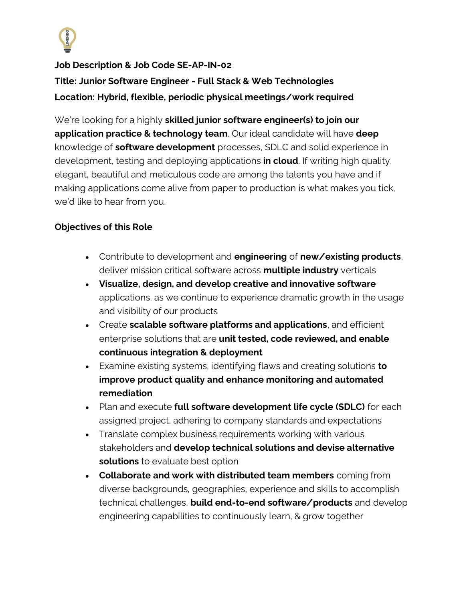

# **Job Description & Job Code SE-AP-IN-02 Title: Junior Software Engineer - Full Stack & Web Technologies Location: Hybrid, flexible, periodic physical meetings/work required**

We're looking for a highly **skilled junior software engineer(s) to join our application practice & technology team**. Our ideal candidate will have **deep** knowledge of **software development** processes, SDLC and solid experience in development, testing and deploying applications **in cloud**. If writing high quality, elegant, beautiful and meticulous code are among the talents you have and if making applications come alive from paper to production is what makes you tick, we'd like to hear from you.

### **Objectives of this Role**

- Contribute to development and **engineering** of **new/existing products**, deliver mission critical software across **multiple industry** verticals
- **Visualize, design, and develop creative and innovative software** applications, as we continue to experience dramatic growth in the usage and visibility of our products
- Create **scalable software platforms and applications**, and efficient enterprise solutions that are **unit tested, code reviewed, and enable continuous integration & deployment**
- Examine existing systems, identifying flaws and creating solutions **to improve product quality and enhance monitoring and automated remediation**
- Plan and execute **full software development life cycle (SDLC)** for each assigned project, adhering to company standards and expectations
- Translate complex business requirements working with various stakeholders and **develop technical solutions and devise alternative solutions** to evaluate best option
- **Collaborate and work with distributed team members** coming from diverse backgrounds, geographies, experience and skills to accomplish technical challenges, **build end-to-end software/products** and develop engineering capabilities to continuously learn, & grow together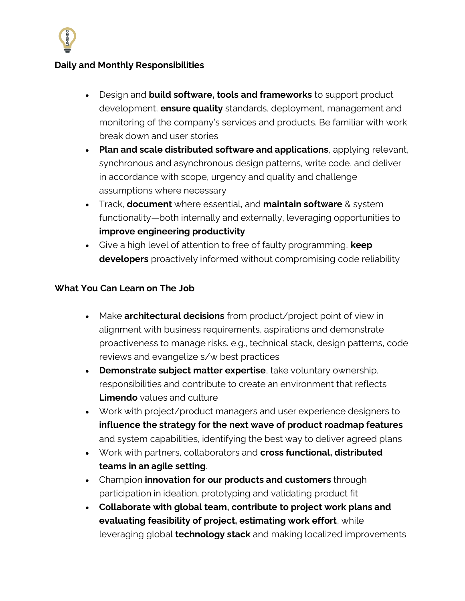

#### **Daily and Monthly Responsibilities**

- Design and **build software, tools and frameworks** to support product development, **ensure quality** standards, deployment, management and monitoring of the company's services and products. Be familiar with work break down and user stories
- **Plan and scale distributed software and applications**, applying relevant, synchronous and asynchronous design patterns, write code, and deliver in accordance with scope, urgency and quality and challenge assumptions where necessary
- Track, **document** where essential, and **maintain software** & system functionality—both internally and externally, leveraging opportunities to **improve engineering productivity**
- Give a high level of attention to free of faulty programming, **keep developers** proactively informed without compromising code reliability

#### **What You Can Learn on The Job**

- Make **architectural decisions** from product/project point of view in alignment with business requirements, aspirations and demonstrate proactiveness to manage risks. e.g., technical stack, design patterns, code reviews and evangelize s/w best practices
- **Demonstrate subject matter expertise**, take voluntary ownership, responsibilities and contribute to create an environment that reflects **Limendo** values and culture
- Work with project/product managers and user experience designers to **influence the strategy for the next wave of product roadmap features** and system capabilities, identifying the best way to deliver agreed plans
- Work with partners, collaborators and **cross functional, distributed teams in an agile setting**.
- Champion **innovation for our products and customers** through participation in ideation, prototyping and validating product fit
- **Collaborate with global team, contribute to project work plans and evaluating feasibility of project, estimating work effort**, while leveraging global **technology stack** and making localized improvements